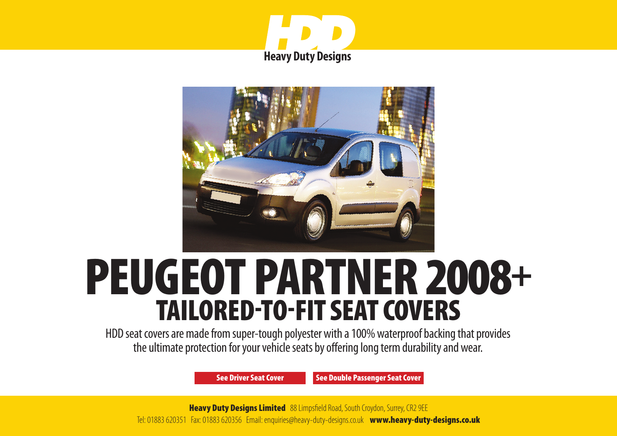



# PEUGEOT PARTNER 2008+ TAILORED-TO-FIT SEAT COVERS

HDD seat covers are made from super-tough polyester with a 100% waterproof backing that provides the ultimate protection for your vehicle seats by offering long term durability and wear.

[See Driver Seat Cover](#page-1-0) [See Double Passenger Seat Cover](#page-2-0)

**Heavy Duty Designs Limited** 88 Limpsfield Road, South Croydon, Surrey, CR2 9EE Tel: 01883 620351 Fax: 01883 620356 Email: enquiries@heavy-duty-designs.co.uk www.heavy-duty-designs.co.uk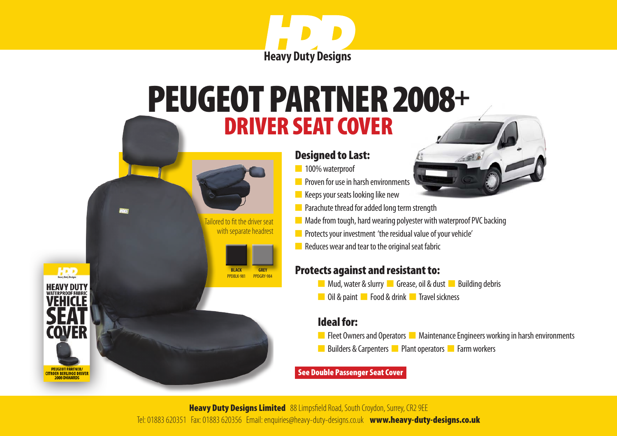

### <span id="page-1-0"></span>DRIVER SEAT COVER PEUGEOT PARTNER 2008+

 Tailored to fit the driver seat with separate headrest

> **BLACK** PPDBLK-981

**HDD** 

**TROEN BERLINGO DRIVER** 

**GREY** PPDGRY-984

#### Designed to Last:

- n 100% waterproof
- **n** Proven for use in harsh environments
- $\blacksquare$  Keeps your seats looking like new
- $\blacksquare$  Parachute thread for added long term strength
- $\blacksquare$  Made from tough, hard wearing polyester with waterproof PVC backing
- **n** Protects your investment 'the residual value of your vehicle'
- $\blacksquare$  Reduces wear and tear to the original seat fabric

#### Protects against and resistant to:

- **n** Mud, water & slurry **n** Grease, oil & dust **n** Building debris
- **n** Oil & paint **n** Food & drink **n** Travel sickness

#### Ideal for:

- **n** Fleet Owners and Operators **n** Maintenance Engineers working in harsh environments
- n Builders & Carpenters **n** Plant operators **n** Farm workers

#### [See Double Passenger Seat Cover](#page-2-0)